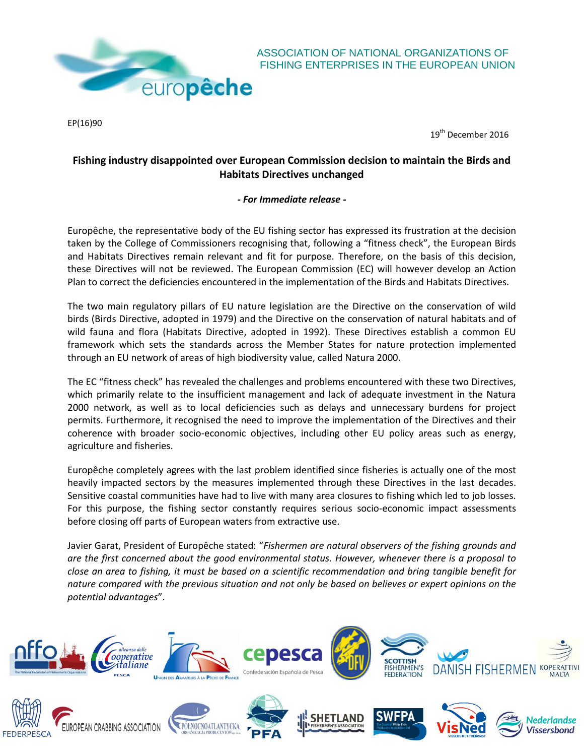

EP(16)90

ASSOCIATION OF NATIONAL ORGANIZATIONS OF FISHING ENTERPRISES IN THE EUROPEAN UNION

19<sup>th</sup> December 2016

## **Fishing industry disappointed over European Commission decision to maintain the Birds and Habitats Directives unchanged**

## *- For Immediate release -*

Europêche, the representative body of the EU fishing sector has expressed its frustration at the decision taken by the College of Commissioners recognising that, following a "fitness check", the European Birds and Habitats Directives remain relevant and fit for purpose. Therefore, on the basis of this decision, these Directives will not be reviewed. The European Commission (EC) will however develop an Action Plan to correct the deficiencies encountered in the implementation of the Birds and Habitats Directives.

The two main regulatory pillars of EU nature legislation are the Directive on the conservation of wild birds (Birds Directive, adopted in 1979) and the Directive on the conservation of natural habitats and of wild fauna and flora (Habitats Directive, adopted in 1992). These Directives establish a common EU framework which sets the standards across the Member States for nature protection implemented through an EU network of areas of high biodiversity value, called Natura 2000.

The EC "fitness check" has revealed the challenges and problems encountered with these two Directives, which primarily relate to the insufficient management and lack of adequate investment in the Natura 2000 network, as well as to local deficiencies such as delays and unnecessary burdens for project permits. Furthermore, it recognised the need to improve the implementation of the Directives and their coherence with broader socio-economic objectives, including other EU policy areas such as energy, agriculture and fisheries.

Europêche completely agrees with the last problem identified since fisheries is actually one of the most heavily impacted sectors by the measures implemented through these Directives in the last decades. Sensitive coastal communities have had to live with many area closures to fishing which led to job losses. For this purpose, the fishing sector constantly requires serious socio-economic impact assessments before closing off parts of European waters from extractive use.

Javier Garat, President of Europêche stated: "*Fishermen are natural observers of the fishing grounds and are the first concerned about the good environmental status. However, whenever there is a proposal to close an area to fishing, it must be based on a scientific recommendation and bring tangible benefit for nature compared with the previous situation and not only be based on believes or expert opinions on the potential advantages*".